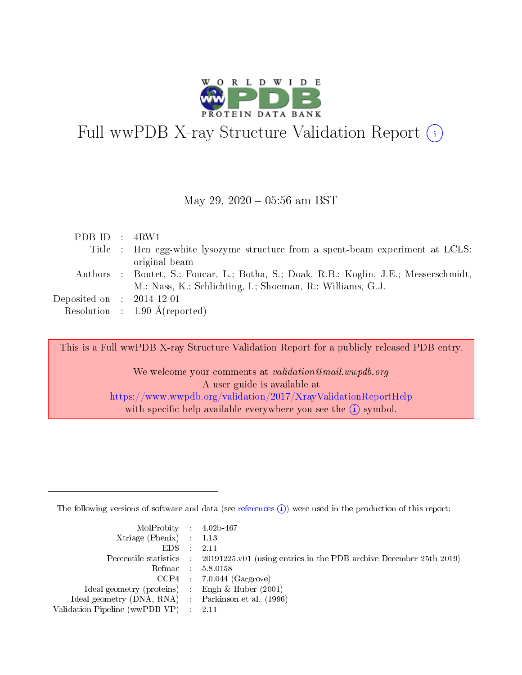

# Full wwPDB X-ray Structure Validation Report  $(i)$

#### May 29,  $2020 - 05:56$  am BST

| PDB ID : $4RW1$             |                                                                                       |
|-----------------------------|---------------------------------------------------------------------------------------|
|                             | Title : Hen egg-white lysozyme structure from a spent-beam experiment at LCLS:        |
|                             | original beam                                                                         |
|                             | Authors : Boutet, S.; Foucar, L.; Botha, S.; Doak, R.B.; Koglin, J.E.; Messerschmidt, |
|                             | M.; Nass, K.; Schlichting, I.; Shoeman, R.; Williams, G.J.                            |
| Deposited on : $2014-12-01$ |                                                                                       |
|                             | Resolution : $1.90 \text{ Å}$ (reported)                                              |

This is a Full wwPDB X-ray Structure Validation Report for a publicly released PDB entry.

We welcome your comments at validation@mail.wwpdb.org A user guide is available at <https://www.wwpdb.org/validation/2017/XrayValidationReportHelp> with specific help available everywhere you see the  $(i)$  symbol.

The following versions of software and data (see [references](https://www.wwpdb.org/validation/2017/XrayValidationReportHelp#references)  $(i)$ ) were used in the production of this report:

| $MolProbability$ 4.02b-467<br>Xtriage (Phenix) $: 1.13$ |                                                                                                     |
|---------------------------------------------------------|-----------------------------------------------------------------------------------------------------|
| $EDS$ :                                                 | -2.11<br>Percentile statistics : 20191225.v01 (using entries in the PDB archive December 25th 2019) |
|                                                         | Refmac : 5.8.0158                                                                                   |
|                                                         | $CCP4$ : 7.0.044 (Gargrove)                                                                         |
| Ideal geometry (proteins) : Engh $\&$ Huber (2001)      |                                                                                                     |
| Ideal geometry (DNA, RNA) : Parkinson et al. (1996)     |                                                                                                     |
| Validation Pipeline (wwPDB-VP) :                        | -2.11                                                                                               |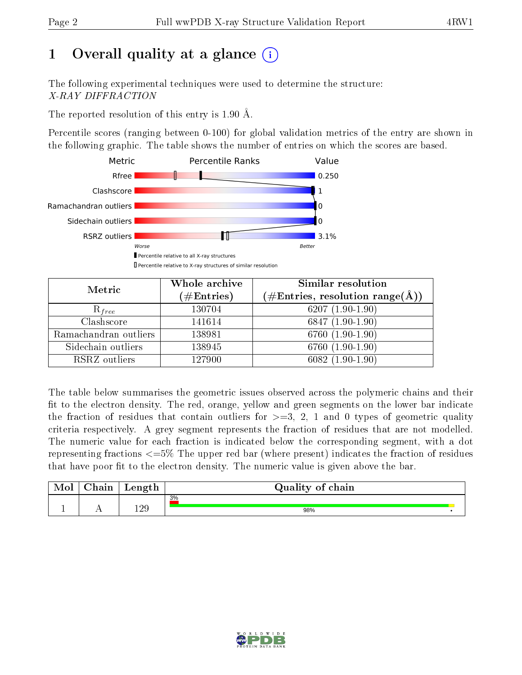# 1 [O](https://www.wwpdb.org/validation/2017/XrayValidationReportHelp#overall_quality)verall quality at a glance  $(i)$

The following experimental techniques were used to determine the structure: X-RAY DIFFRACTION

The reported resolution of this entry is 1.90 Å.

Percentile scores (ranging between 0-100) for global validation metrics of the entry are shown in the following graphic. The table shows the number of entries on which the scores are based.



| Metric                | Whole archive<br>$(\#\mathrm{Entries})$ | Similar resolution<br>$(\#\text{Entries}, \text{resolution range}(\text{\AA}))$ |
|-----------------------|-----------------------------------------|---------------------------------------------------------------------------------|
| $R_{free}$            | 130704                                  | $6207(1.90-1.90)$                                                               |
| Clashscore            | 141614                                  | $6847(1.90-1.90)$                                                               |
| Ramachandran outliers | 138981                                  | $6760(1.90-1.90)$                                                               |
| Sidechain outliers    | 138945                                  | $6760(1.90-1.90)$                                                               |
| RSRZ outliers         | 127900                                  | $6082(1.90-1.90)$                                                               |

The table below summarises the geometric issues observed across the polymeric chains and their fit to the electron density. The red, orange, yellow and green segments on the lower bar indicate the fraction of residues that contain outliers for  $>=3, 2, 1$  and 0 types of geometric quality criteria respectively. A grey segment represents the fraction of residues that are not modelled. The numeric value for each fraction is indicated below the corresponding segment, with a dot representing fractions <=5% The upper red bar (where present) indicates the fraction of residues that have poor fit to the electron density. The numeric value is given above the bar.

| Mol       | $\sim$<br>hain | Length     | Quality of chain |  |
|-----------|----------------|------------|------------------|--|
|           |                |            | 3%               |  |
| <u>д.</u> | . .            | 190<br>⊥∠ປ | 98%              |  |

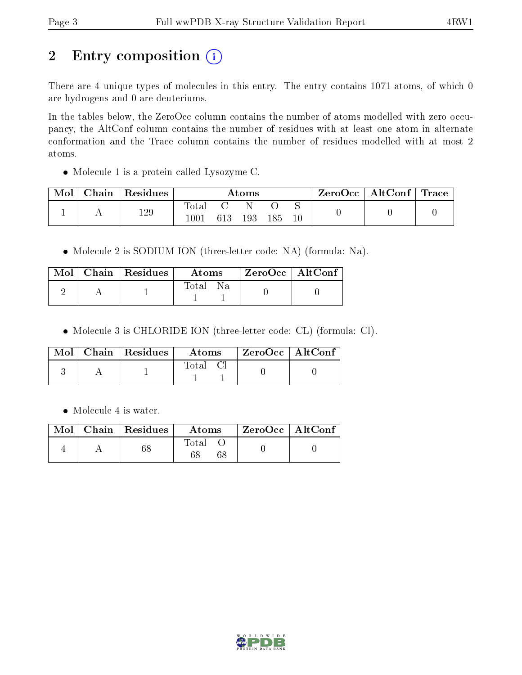# 2 Entry composition (i)

There are 4 unique types of molecules in this entry. The entry contains 1071 atoms, of which 0 are hydrogens and 0 are deuteriums.

In the tables below, the ZeroOcc column contains the number of atoms modelled with zero occupancy, the AltConf column contains the number of residues with at least one atom in alternate conformation and the Trace column contains the number of residues modelled with at most 2 atoms.

• Molecule 1 is a protein called Lysozyme C.

| Mol | ${\rm Chain}$ | Residues | $\rm{Atoms}$ |     |     |  | $\mid$ ZeroOcc $\mid$ AltConf $\mid$ Trace |  |
|-----|---------------|----------|--------------|-----|-----|--|--------------------------------------------|--|
|     |               | 129      | Total        |     |     |  |                                            |  |
|     |               | $1001\,$ | 613          | 193 | 185 |  |                                            |  |

• Molecule 2 is SODIUM ION (three-letter code: NA) (formula: Na).

|  | $Mol$   Chain   Residues | <b>Atoms</b>  | $\mid$ ZeroOcc $\mid$ AltConf |  |
|--|--------------------------|---------------|-------------------------------|--|
|  |                          | Total<br>- Na |                               |  |

Molecule 3 is CHLORIDE ION (three-letter code: CL) (formula: Cl).

|  | $\text{Mol}$   Chain   Residues | Atoms    | $\mid$ ZeroOcc $\mid$ AltConf $\mid$ |
|--|---------------------------------|----------|--------------------------------------|
|  |                                 | Total Cl |                                      |

• Molecule 4 is water.

|  | $Mol$   Chain   Residues | Atoms | $ZeroOcc \   \ AltConf$ |
|--|--------------------------|-------|-------------------------|
|  |                          | Total |                         |

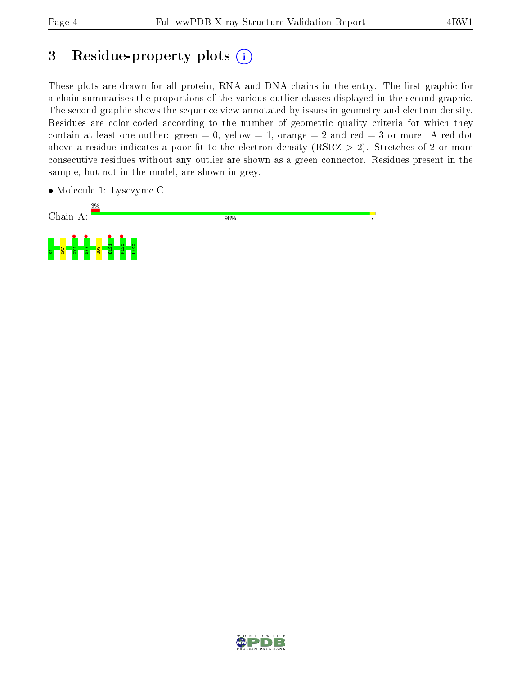## 3 Residue-property plots  $(i)$

These plots are drawn for all protein, RNA and DNA chains in the entry. The first graphic for a chain summarises the proportions of the various outlier classes displayed in the second graphic. The second graphic shows the sequence view annotated by issues in geometry and electron density. Residues are color-coded according to the number of geometric quality criteria for which they contain at least one outlier: green  $= 0$ , yellow  $= 1$ , orange  $= 2$  and red  $= 3$  or more. A red dot above a residue indicates a poor fit to the electron density (RSRZ  $> 2$ ). Stretches of 2 or more consecutive residues without any outlier are shown as a green connector. Residues present in the sample, but not in the model, are shown in grey.

• Molecule 1: Lysozyme C



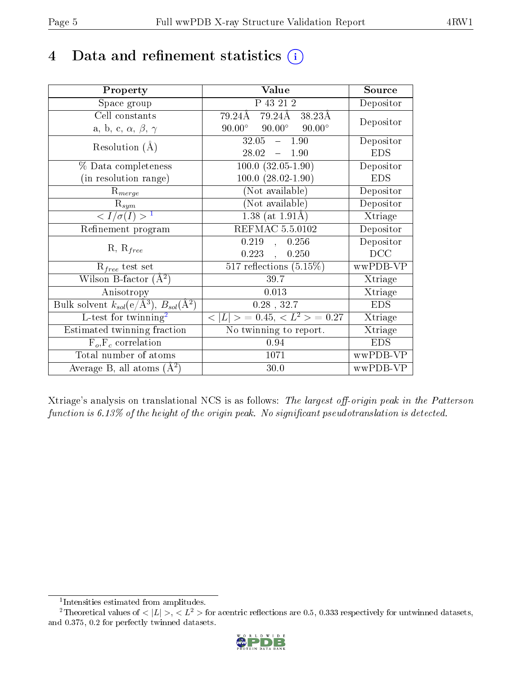# 4 Data and refinement statistics  $(i)$

| Property                                                              | Value                                                    | Source     |
|-----------------------------------------------------------------------|----------------------------------------------------------|------------|
| Space group                                                           | P 43 21 2                                                | Depositor  |
| Cell constants                                                        | $79.24\text{\AA}$<br>79.24Å<br>38.23Å                    | Depositor  |
| a, b, c, $\alpha$ , $\beta$ , $\gamma$                                | $90.00^\circ$<br>$90.00^\circ$<br>$90.00^\circ$          |            |
| Resolution $(A)$                                                      | $32.05 - 1.90$                                           | Depositor  |
|                                                                       | 28.02<br>$-1.90$                                         | <b>EDS</b> |
| % Data completeness                                                   | $100.0 (32.05 - 1.90)$                                   | Depositor  |
| (in resolution range)                                                 | $100.0 (28.02 - 1.90)$                                   | <b>EDS</b> |
| $R_{merge}$                                                           | (Not available)                                          | Depositor  |
| $\mathbf{R}_{sym}$                                                    | (Not available)                                          | Depositor  |
| $\langle I/\sigma(I) \rangle^{-1}$                                    | $1.38$ (at 1.91Å)                                        | Xtriage    |
| Refinement program                                                    | REFMAC 5.5.0102                                          | Depositor  |
| $R, R_{free}$                                                         | $\overline{0.219}$ ,<br>0.256                            | Depositor  |
|                                                                       | 0.223<br>0.250                                           | DCC        |
| $R_{free}$ test set                                                   | 517 reflections $(5.15\%)$                               | wwPDB-VP   |
| Wilson B-factor $(A^2)$                                               | 39.7                                                     | Xtriage    |
| Anisotropy                                                            | 0.013                                                    | Xtriage    |
| Bulk solvent $k_{sol}(\text{e}/\text{\AA}^3),\,B_{sol}(\text{\AA}^2)$ | $0.28$ , $32.7$                                          | <b>EDS</b> |
| L-test for $\mathrm{twinning}^2$                                      | $\langle  L  \rangle = 0.45, \langle L^2 \rangle = 0.27$ | Xtriage    |
| Estimated twinning fraction                                           | No twinning to report.                                   | Xtriage    |
| $F_o, F_c$ correlation                                                | 0.94                                                     | <b>EDS</b> |
| Total number of atoms                                                 | 1071                                                     | wwPDB-VP   |
| Average B, all atoms $(A^2)$                                          | 30.0                                                     | wwPDB-VP   |

Xtriage's analysis on translational NCS is as follows: The largest off-origin peak in the Patterson function is  $6.13\%$  of the height of the origin peak. No significant pseudotranslation is detected.

<sup>&</sup>lt;sup>2</sup>Theoretical values of  $\langle |L| \rangle$ ,  $\langle L^2 \rangle$  for acentric reflections are 0.5, 0.333 respectively for untwinned datasets, and 0.375, 0.2 for perfectly twinned datasets.



<span id="page-4-1"></span><span id="page-4-0"></span><sup>1</sup> Intensities estimated from amplitudes.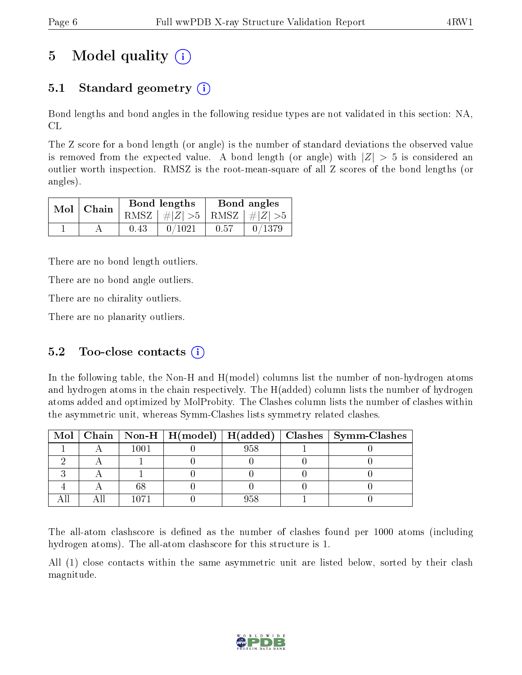# 5 Model quality  $(i)$

### 5.1 Standard geometry  $\overline{()}$

Bond lengths and bond angles in the following residue types are not validated in this section: NA, CL

The Z score for a bond length (or angle) is the number of standard deviations the observed value is removed from the expected value. A bond length (or angle) with  $|Z| > 5$  is considered an outlier worth inspection. RMSZ is the root-mean-square of all Z scores of the bond lengths (or angles).

|  | $Mol$   Chain |      | Bond lengths                    | Bond angles |                   |  |
|--|---------------|------|---------------------------------|-------------|-------------------|--|
|  |               |      | RMSZ $ #Z  > 5$ RMSZ $ #Z  > 5$ |             |                   |  |
|  |               | 0.43 | 0/1021                          | 0.57        | $\binom{0}{1379}$ |  |

There are no bond length outliers.

There are no bond angle outliers.

There are no chirality outliers.

There are no planarity outliers.

### 5.2 Too-close contacts  $(i)$

In the following table, the Non-H and H(model) columns list the number of non-hydrogen atoms and hydrogen atoms in the chain respectively. The H(added) column lists the number of hydrogen atoms added and optimized by MolProbity. The Clashes column lists the number of clashes within the asymmetric unit, whereas Symm-Clashes lists symmetry related clashes.

|  |      |     | Mol   Chain   Non-H   H(model)   H(added)   Clashes   Symm-Clashes |
|--|------|-----|--------------------------------------------------------------------|
|  | 1001 | 958 |                                                                    |
|  |      |     |                                                                    |
|  |      |     |                                                                    |
|  |      |     |                                                                    |
|  | 1071 | 958 |                                                                    |

The all-atom clashscore is defined as the number of clashes found per 1000 atoms (including hydrogen atoms). The all-atom clashscore for this structure is 1.

All (1) close contacts within the same asymmetric unit are listed below, sorted by their clash magnitude.

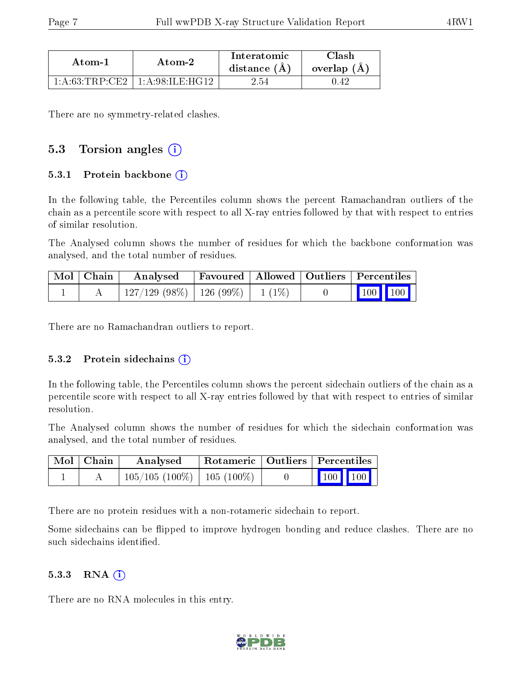| Atom-1                                                 | Atom-2                                                      | Interatomic<br>distance (A) | ~lash<br>overlap (A) |  |
|--------------------------------------------------------|-------------------------------------------------------------|-----------------------------|----------------------|--|
| $1 \cdot A \cdot 63 \cdot \text{TRP} \cdot \text{CF2}$ | $1 \cdot \Delta \cdot 98 \cdot 11 \cdot F \cdot H \cdot 19$ | ) 54                        |                      |  |

There are no symmetry-related clashes.

#### 5.3 Torsion angles (i)

#### 5.3.1 Protein backbone  $(i)$

In the following table, the Percentiles column shows the percent Ramachandran outliers of the chain as a percentile score with respect to all X-ray entries followed by that with respect to entries of similar resolution.

The Analysed column shows the number of residues for which the backbone conformation was analysed, and the total number of residues.

| Mol   Chain | Analysed                                |  | Favoured   Allowed   Outliers   Percentiles                  |  |
|-------------|-----------------------------------------|--|--------------------------------------------------------------|--|
|             | $127/129$ (98\%)   126 (99\%)   1 (1\%) |  | $\begin{array}{ c c c c c }\n\hline\n100 & 100\n\end{array}$ |  |

There are no Ramachandran outliers to report.

#### $5.3.2$  Protein sidechains  $(i)$

In the following table, the Percentiles column shows the percent sidechain outliers of the chain as a percentile score with respect to all X-ray entries followed by that with respect to entries of similar resolution.

The Analysed column shows the number of residues for which the sidechain conformation was analysed, and the total number of residues.

| Mol   Chain | Analysed                       | $\perp$ Rotameric $\perp$ Outliers $\perp$ Percentiles |                                                                      |  |
|-------------|--------------------------------|--------------------------------------------------------|----------------------------------------------------------------------|--|
|             | $105/105(100\%)$   105 (100\%) |                                                        | $\begin{array}{ c c c c }\n\hline\n100 & 100 \\ \hline\n\end{array}$ |  |

There are no protein residues with a non-rotameric sidechain to report.

Some sidechains can be flipped to improve hydrogen bonding and reduce clashes. There are no such sidechains identified.

#### $5.3.3$  RNA  $(i)$

There are no RNA molecules in this entry.

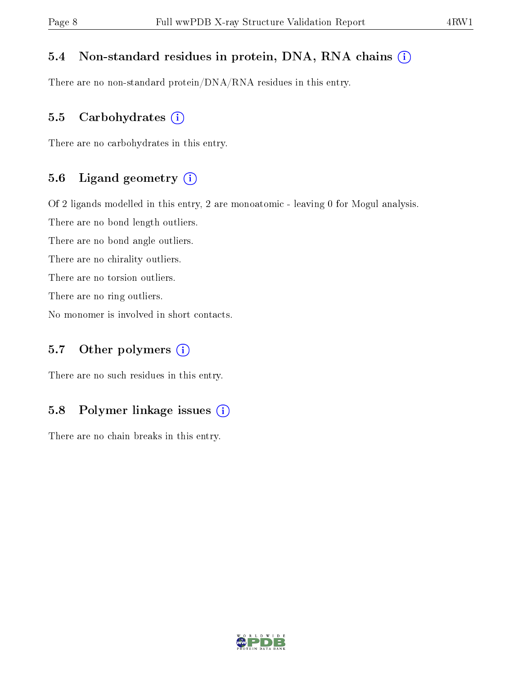#### 5.4 Non-standard residues in protein, DNA, RNA chains (i)

There are no non-standard protein/DNA/RNA residues in this entry.

#### 5.5 Carbohydrates  $(i)$

There are no carbohydrates in this entry.

#### 5.6 Ligand geometry (i)

Of 2 ligands modelled in this entry, 2 are monoatomic - leaving 0 for Mogul analysis.

There are no bond length outliers.

There are no bond angle outliers.

There are no chirality outliers.

There are no torsion outliers.

There are no ring outliers.

No monomer is involved in short contacts.

#### 5.7 [O](https://www.wwpdb.org/validation/2017/XrayValidationReportHelp#nonstandard_residues_and_ligands)ther polymers  $(i)$

There are no such residues in this entry.

#### 5.8 Polymer linkage issues  $(i)$

There are no chain breaks in this entry.

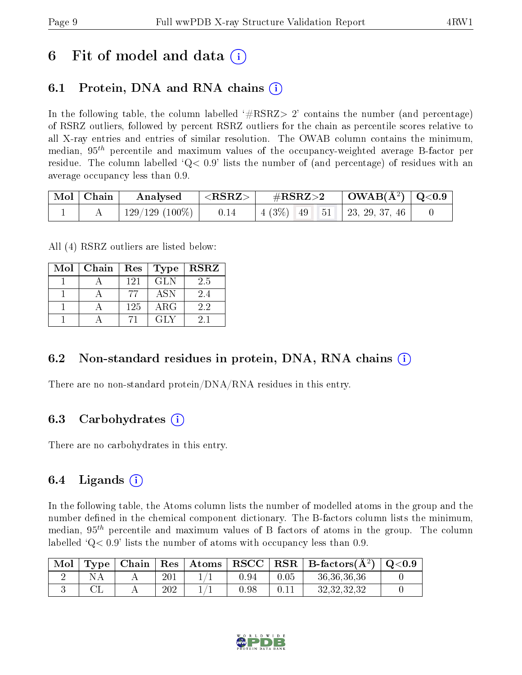### 6 Fit of model and data  $\left( \cdot \right)$

### 6.1 Protein, DNA and RNA chains (i)

In the following table, the column labelled  $#RSRZ>2'$  contains the number (and percentage) of RSRZ outliers, followed by percent RSRZ outliers for the chain as percentile scores relative to all X-ray entries and entries of similar resolution. The OWAB column contains the minimum, median,  $95<sup>th</sup>$  percentile and maximum values of the occupancy-weighted average B-factor per residue. The column labelled  $Q < 0.9$  lists the number of (and percentage) of residues with an average occupancy less than 0.9.

| $\mid$ Mol $\mid$ Chain | $\boldsymbol{\mathrm{Analysed}}$ | $^{-1}$ $<$ $\mathrm{RSRZ}$ $>$ $+$ | $\rm \#RSRZ{>}2$                    | $\vert$ OWAB(Å <sup>2</sup> ) $\vert$ Q<0.9 |  |
|-------------------------|----------------------------------|-------------------------------------|-------------------------------------|---------------------------------------------|--|
|                         | 129/129 (100%)                   | 0.14                                | $\mid$ 4 (3\%) 49 51 23, 29, 37, 46 |                                             |  |

All (4) RSRZ outliers are listed below:

| Mol | Chain | $\mid$ Res | Type       | <b>RSRZ</b> |
|-----|-------|------------|------------|-------------|
|     |       | 121        | <b>GLN</b> | 2.5         |
|     |       | 77         | <b>ASN</b> | 2.4         |
|     |       | 125        | $\rm{ARG}$ | 2.2         |
|     |       |            | GLY        | 21          |

#### 6.2 Non-standard residues in protein, DNA, RNA chains  $(i)$

There are no non-standard protein/DNA/RNA residues in this entry.

### 6.3 Carbohydrates (i)

There are no carbohydrates in this entry.

### 6.4 Ligands  $(i)$

In the following table, the Atoms column lists the number of modelled atoms in the group and the number defined in the chemical component dictionary. The B-factors column lists the minimum, median,  $95<sup>th</sup>$  percentile and maximum values of B factors of atoms in the group. The column labelled  $Q< 0.9$  lists the number of atoms with occupancy less than 0.9.

| Mol | Type | Chain | $\operatorname{Res}$ | Atoms |            |      | $RSCC$ RSR $B$ -factors $(A2)$ | $\rm{Q}\textcolor{black}{<}0.9$ |
|-----|------|-------|----------------------|-------|------------|------|--------------------------------|---------------------------------|
|     |      |       | 201                  |       | $\rm 0.94$ | 0.05 | 36, 36, 36, 36                 |                                 |
|     |      |       | 202                  |       | $0.98\,$   |      | 32, 32, 32, 32                 |                                 |